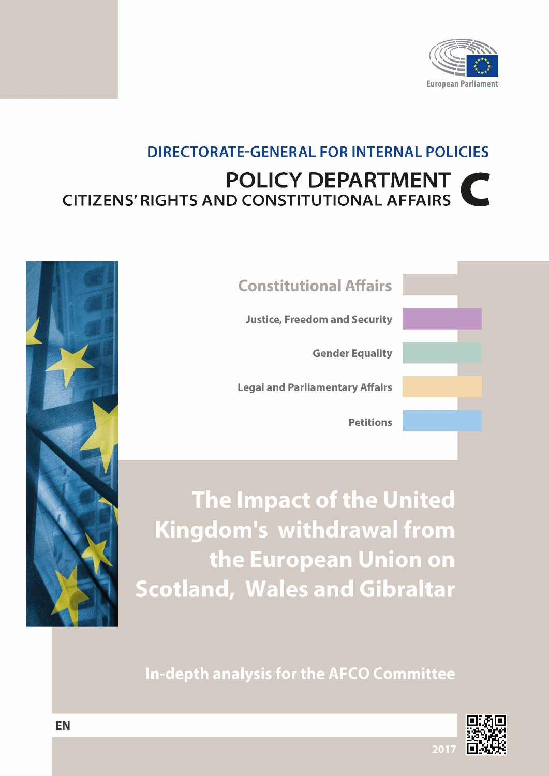

## **DIRECTORATE-GENERAL FOR INTERNAL POLICIES POLICY DEPARTMENT**  $\mathbf{C}$ **CITIZENS' RIGHTS AND CONSTITUTIONAL AFFAIRS**



| <b>Constitutional Affairs</b>          |  |
|----------------------------------------|--|
| <b>Justice, Freedom and Security</b>   |  |
| <b>Gender Equality</b>                 |  |
| <b>Legal and Parliamentary Affairs</b> |  |
| <b>Petitions</b>                       |  |

The Impact of the United Kingdom's withdrawal from the European Union on **Scotland, Wales and Gibraltar** 

**In-depth analysis for the AFCO Committee** 

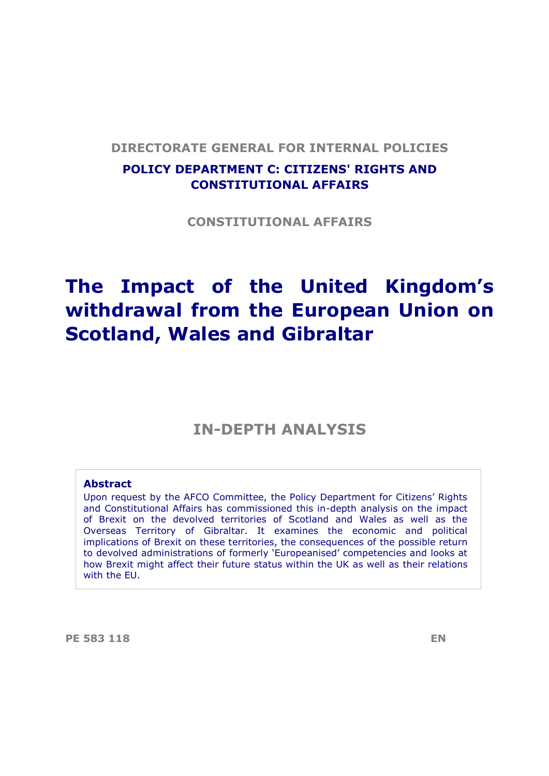**DIRECTORATE GENERAL FOR INTERNAL POLICIES**

## **POLICY DEPARTMENT C: CITIZENS' RIGHTS AND CONSTITUTIONAL AFFAIRS**

**CONSTITUTIONAL AFFAIRS**

## **The Impact of the United Kingdom's withdrawal from the European Union on Scotland, Wales and Gibraltar**

## **IN-DEPTH ANALYSIS**

#### **Abstract**

Upon request by the AFCO Committee, the Policy Department for Citizens' Rights and Constitutional Affairs has commissioned this in-depth analysis on the impact of Brexit on the devolved territories of Scotland and Wales as well as the Overseas Territory of Gibraltar. It examines the economic and political implications of Brexit on these territories, the consequences of the possible return to devolved administrations of formerly 'Europeanised' competencies and looks at how Brexit might affect their future status within the UK as well as their relations with the EU.

**PE 583 118 EN**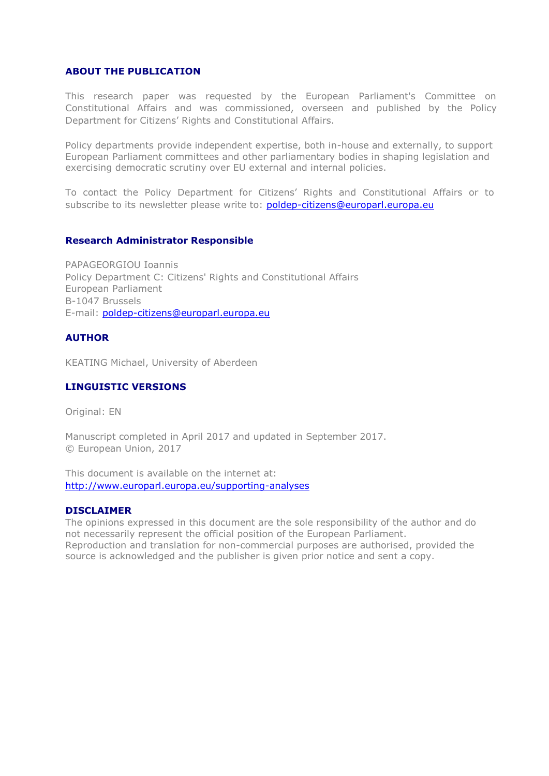#### **ABOUT THE PUBLICATION**

This research paper was requested by the European Parliament's Committee on Constitutional Affairs and was commissioned, overseen and published by the Policy Department for Citizens' Rights and Constitutional Affairs.

Policy departments provide independent expertise, both in-house and externally, to support European Parliament committees and other parliamentary bodies in shaping legislation and exercising democratic scrutiny over EU external and internal policies.

To contact the Policy Department for Citizens' Rights and Constitutional Affairs or to subscribe to its newsletter please write to: poldep-citizens@europarl.europa.eu

#### **Research Administrator Responsible**

PAPAGEORGIOU Ioannis Policy Department C: Citizens' Rights and Constitutional Affairs European Parliament B-1047 Brussels E-mail: poldep-citizens@europarl.europa.eu

#### **AUTHOR**

KEATING Michael, University of Aberdeen

#### **LINGUISTIC VERSIONS**

Original: EN

Manuscript completed in April 2017 and updated in September 2017. © European Union, 2017

This document is available on the internet at: http://www.europarl.europa.eu/supporting-analyses

#### **DISCLAIMER**

The opinions expressed in this document are the sole responsibility of the author and do not necessarily represent the official position of the European Parliament. Reproduction and translation for non-commercial purposes are authorised, provided the source is acknowledged and the publisher is given prior notice and sent a copy.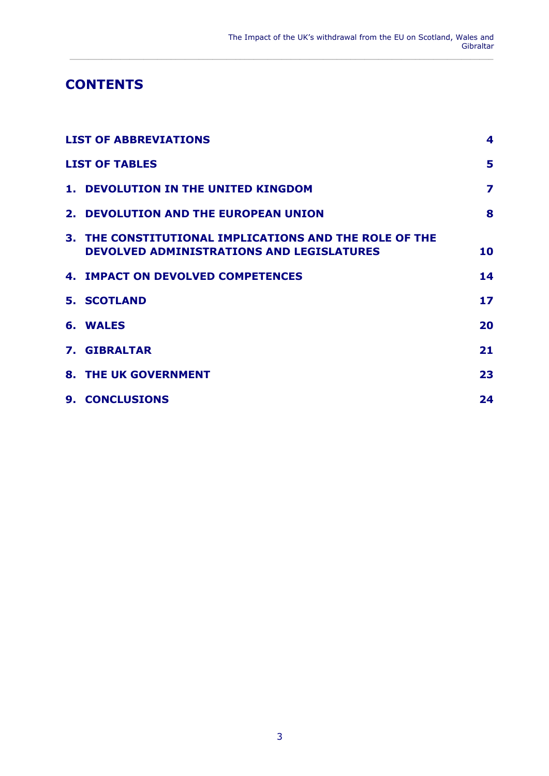## **CONTENTS**

| <b>LIST OF ABBREVIATIONS</b>                                                                               | 4  |
|------------------------------------------------------------------------------------------------------------|----|
| <b>LIST OF TABLES</b>                                                                                      | 5  |
| 1. DEVOLUTION IN THE UNITED KINGDOM                                                                        | 7  |
| 2. DEVOLUTION AND THE EUROPEAN UNION                                                                       | 8  |
| 3. THE CONSTITUTIONAL IMPLICATIONS AND THE ROLE OF THE<br><b>DEVOLVED ADMINISTRATIONS AND LEGISLATURES</b> | 10 |
| <b>4. IMPACT ON DEVOLVED COMPETENCES</b>                                                                   | 14 |
| <b>5. SCOTLAND</b>                                                                                         | 17 |
| <b>6. WALES</b>                                                                                            | 20 |
| 7. GIBRALTAR                                                                                               | 21 |
| <b>8. THE UK GOVERNMENT</b>                                                                                | 23 |
| <b>9. CONCLUSIONS</b>                                                                                      | 24 |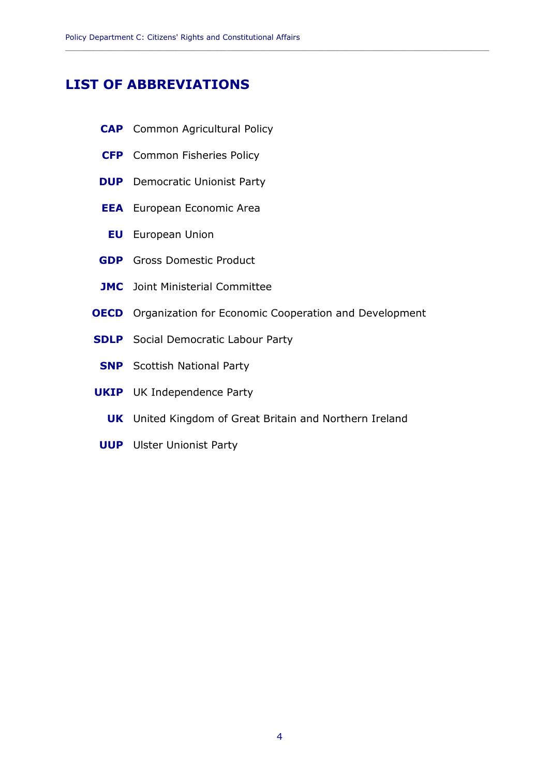## <span id="page-5-0"></span>**LIST OF ABBREVIATIONS**

- **CAP** Common Agricultural Policy
- **CFP** Common Fisheries Policy
- **DUP** Democratic Unionist Party
- **EEA** European Economic Area
	- **EU** European Union
- **GDP** Gross Domestic Product
- **JMC** Joint Ministerial Committee
- **OECD** Organization for Economic Cooperation and Development

**\_\_\_\_\_\_\_\_\_\_\_\_\_\_\_\_\_\_\_\_\_\_\_\_\_\_\_\_\_\_\_\_\_\_\_\_\_\_\_\_\_\_\_\_\_\_\_\_\_\_\_\_\_\_\_\_\_\_\_\_\_\_\_\_\_\_\_\_\_\_\_\_\_\_\_\_\_\_\_\_\_\_\_\_\_\_\_\_\_\_\_\_**

- **SDLP** Social Democratic Labour Party
- **SNP** Scottish National Party
- **UKIP** UK Independence Party
	- **UK** United Kingdom of Great Britain and Northern Ireland
- **UUP** Ulster Unionist Party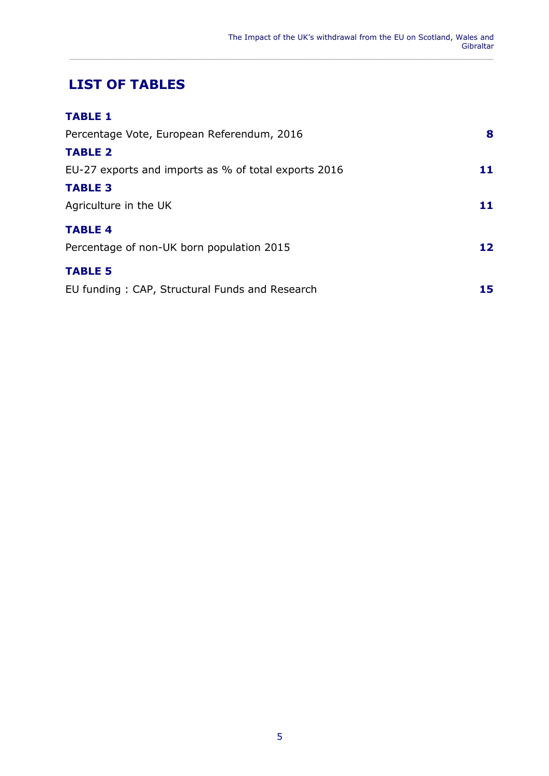## <span id="page-6-0"></span>**LIST OF TABLES**

| <b>TABLE 1</b>                                       |     |
|------------------------------------------------------|-----|
| Percentage Vote, European Referendum, 2016           | 8   |
| <b>TABLE 2</b>                                       |     |
| EU-27 exports and imports as % of total exports 2016 | 11  |
| <b>TABLE 3</b>                                       |     |
| Agriculture in the UK                                | 11  |
| <b>TABLE 4</b>                                       |     |
| Percentage of non-UK born population 2015            | 12  |
| <b>TABLE 5</b>                                       |     |
| EU funding: CAP, Structural Funds and Research       | 15. |
|                                                      |     |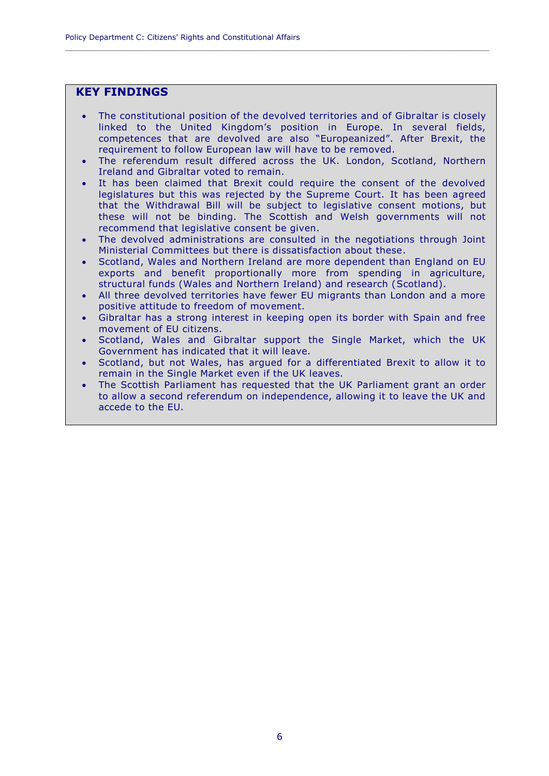#### **KEY FINDINGS**

 The constitutional position of the devolved territories and of Gibraltar is closely linked to the United Kingdom's position in Europe. In several fields, competences that are devolved are also "Europeanized". After Brexit, the requirement to follow European law will have to be removed.

**\_\_\_\_\_\_\_\_\_\_\_\_\_\_\_\_\_\_\_\_\_\_\_\_\_\_\_\_\_\_\_\_\_\_\_\_\_\_\_\_\_\_\_\_\_\_\_\_\_\_\_\_\_\_\_\_\_\_\_\_\_\_\_\_\_\_\_\_\_\_\_\_\_\_\_\_\_\_\_\_\_\_\_\_\_\_\_\_\_\_\_\_**

- The referendum result differed across the UK. London, Scotland, Northern Ireland and Gibraltar voted to remain.
- It has been claimed that Brexit could require the consent of the devolved legislatures but this was rejected by the Supreme Court. It has been agreed that the Withdrawal Bill will be subject to legislative consent motions, but these will not be binding. The Scottish and Welsh governments will not recommend that legislative consent be given.
- The devolved administrations are consulted in the negotiations through Joint Ministerial Committees but there is dissatisfaction about these.
- Scotland, Wales and Northern Ireland are more dependent than England on EU exports and benefit proportionally more from spending in agriculture, structural funds (Wales and Northern Ireland) and research (Scotland).
- All three devolved territories have fewer EU migrants than London and a more positive attitude to freedom of movement.
- Gibraltar has a strong interest in keeping open its border with Spain and free movement of EU citizens.
- Scotland, Wales and Gibraltar support the Single Market, which the UK Government has indicated that it will leave.
- Scotland, but not Wales, has argued for a differentiated Brexit to allow it to remain in the Single Market even if the UK leaves.
- The Scottish Parliament has requested that the UK Parliament grant an order to allow a second referendum on independence, allowing it to leave the UK and accede to the EU.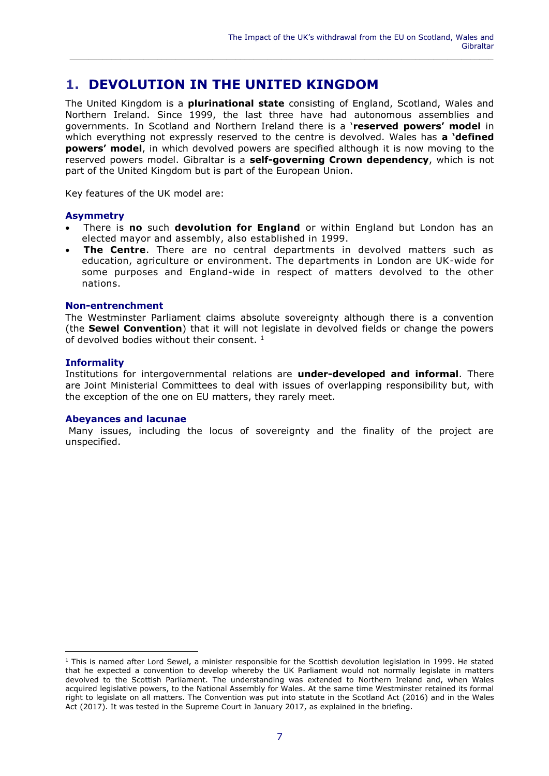## <span id="page-8-0"></span>**1. DEVOLUTION IN THE UNITED KINGDOM**

The United Kingdom is a **plurinational state** consisting of England, Scotland, Wales and Northern Ireland. Since 1999, the last three have had autonomous assemblies and governments. In Scotland and Northern Ireland there is a '**reserved powers' model** in which everything not expressly reserved to the centre is devolved. Wales has **a 'defined powers' model**, in which devolved powers are specified although it is now moving to the reserved powers model. Gibraltar is a **self-governing Crown dependency**, which is not part of the United Kingdom but is part of the European Union.

Key features of the UK model are:

#### **Asymmetry**

- There is **no** such **devolution for England** or within England but London has an elected mayor and assembly, also established in 1999.
- **The Centre**. There are no central departments in devolved matters such as education, agriculture or environment. The departments in London are UK-wide for some purposes and England-wide in respect of matters devolved to the other nations.

#### **Non-entrenchment**

The Westminster Parliament claims absolute sovereignty although there is a convention (the **Sewel Convention**) that it will not legislate in devolved fields or change the powers of devolved bodies without their consent.<sup>1</sup>

#### **Informality**

 $\overline{a}$ 

Institutions for intergovernmental relations are **under-developed and informal**. There are Joint Ministerial Committees to deal with issues of overlapping responsibility but, with the exception of the one on EU matters, they rarely meet.

#### **Abeyances and lacunae**

Many issues, including the locus of sovereignty and the finality of the project are unspecified.

 $1$  This is named after Lord Sewel, a minister responsible for the Scottish devolution legislation in 1999. He stated that he expected a convention to develop whereby the UK Parliament would not normally legislate in matters devolved to the Scottish Parliament. The understanding was extended to Northern Ireland and, when Wales acquired legislative powers, to the National Assembly for Wales. At the same time Westminster retained its formal right to legislate on all matters. The Convention was put into statute in the Scotland Act (2016) and in the Wales Act (2017). It was tested in the Supreme Court in January 2017, as explained in the briefing.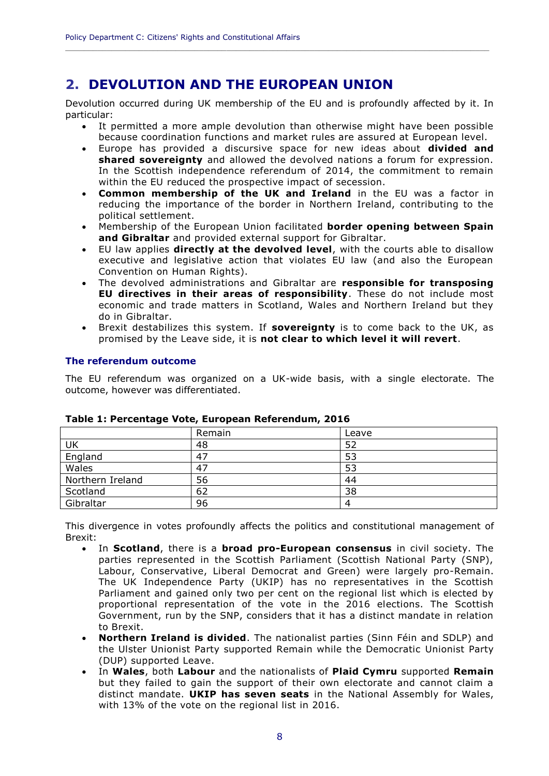## <span id="page-9-0"></span>**2. DEVOLUTION AND THE EUROPEAN UNION**

Devolution occurred during UK membership of the EU and is profoundly affected by it. In particular:

**\_\_\_\_\_\_\_\_\_\_\_\_\_\_\_\_\_\_\_\_\_\_\_\_\_\_\_\_\_\_\_\_\_\_\_\_\_\_\_\_\_\_\_\_\_\_\_\_\_\_\_\_\_\_\_\_\_\_\_\_\_\_\_\_\_\_\_\_\_\_\_\_\_\_\_\_\_\_\_\_\_\_\_\_\_\_\_\_\_\_\_\_**

- It permitted a more ample devolution than otherwise might have been possible because coordination functions and market rules are assured at European level.
- Europe has provided a discursive space for new ideas about **divided and shared sovereignty** and allowed the devolved nations a forum for expression. In the Scottish independence referendum of 2014, the commitment to remain within the EU reduced the prospective impact of secession.
- **Common membership of the UK and Ireland** in the EU was a factor in reducing the importance of the border in Northern Ireland, contributing to the political settlement.
- Membership of the European Union facilitated **border opening between Spain and Gibraltar** and provided external support for Gibraltar.
- EU law applies **directly at the devolved level**, with the courts able to disallow executive and legislative action that violates EU law (and also the European Convention on Human Rights).
- The devolved administrations and Gibraltar are **responsible for transposing EU directives in their areas of responsibility**. These do not include most economic and trade matters in Scotland, Wales and Northern Ireland but they do in Gibraltar.
- Brexit destabilizes this system. If **sovereignty** is to come back to the UK, as promised by the Leave side, it is **not clear to which level it will revert**.

#### **The referendum outcome**

The EU referendum was organized on a UK-wide basis, with a single electorate. The outcome, however was differentiated.

|                  | Remain | Leave |
|------------------|--------|-------|
| UK               | 48     | 52    |
| England          | 47     | 53    |
| Wales            | 47     | 53    |
| Northern Ireland | 56     | 44    |
| Scotland         | 62     | 38    |
| Gibraltar        | 96     |       |

#### <span id="page-9-1"></span>**Table 1: Percentage Vote, European Referendum, 2016**

This divergence in votes profoundly affects the politics and constitutional management of Brexit:

- In **Scotland**, there is a **broad pro-European consensus** in civil society. The parties represented in the Scottish Parliament (Scottish National Party (SNP), Labour, Conservative, Liberal Democrat and Green) were largely pro-Remain. The UK Independence Party (UKIP) has no representatives in the Scottish Parliament and gained only two per cent on the regional list which is elected by proportional representation of the vote in the 2016 elections. The Scottish Government, run by the SNP, considers that it has a distinct mandate in relation to Brexit.
- **Northern Ireland is divided**. The nationalist parties (Sinn Féin and SDLP) and the Ulster Unionist Party supported Remain while the Democratic Unionist Party (DUP) supported Leave.
- In **Wales**, both **Labour** and the nationalists of **Plaid Cymru** supported **Remain** but they failed to gain the support of their own electorate and cannot claim a distinct mandate. **UKIP has seven seats** in the National Assembly for Wales, with 13% of the vote on the regional list in 2016.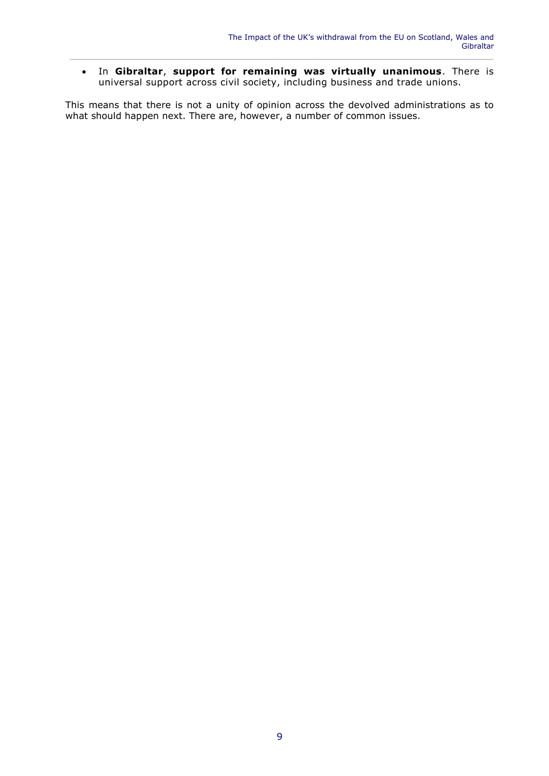In **Gibraltar**, **support for remaining was virtually unanimous**. There is universal support across civil society, including business and trade unions.

This means that there is not a unity of opinion across the devolved administrations as to what should happen next. There are, however, a number of common issues.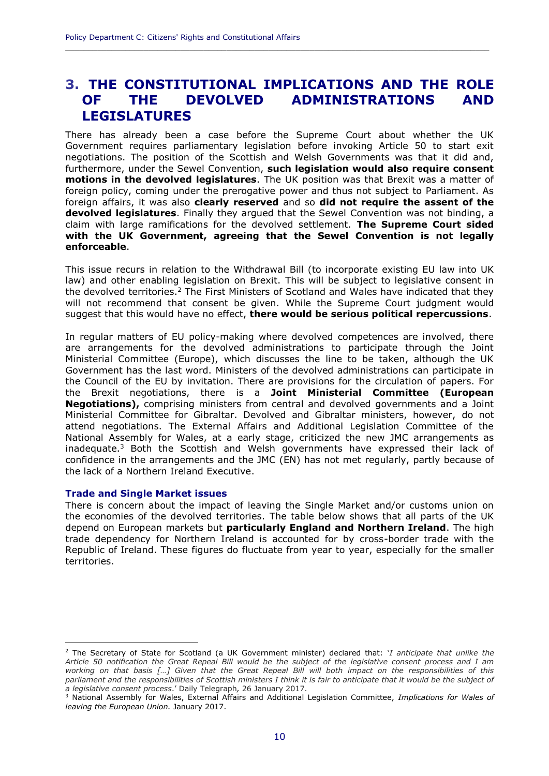## <span id="page-11-0"></span>**3. THE CONSTITUTIONAL IMPLICATIONS AND THE ROLE OF THE DEVOLVED ADMINISTRATIONS AND LEGISLATURES**

**\_\_\_\_\_\_\_\_\_\_\_\_\_\_\_\_\_\_\_\_\_\_\_\_\_\_\_\_\_\_\_\_\_\_\_\_\_\_\_\_\_\_\_\_\_\_\_\_\_\_\_\_\_\_\_\_\_\_\_\_\_\_\_\_\_\_\_\_\_\_\_\_\_\_\_\_\_\_\_\_\_\_\_\_\_\_\_\_\_\_\_\_**

There has already been a case before the Supreme Court about whether the UK Government requires parliamentary legislation before invoking Article 50 to start exit negotiations. The position of the Scottish and Welsh Governments was that it did and, furthermore, under the Sewel Convention, **such legislation would also require consent motions in the devolved legislatures**. The UK position was that Brexit was a matter of foreign policy, coming under the prerogative power and thus not subject to Parliament. As foreign affairs, it was also **clearly reserved** and so **did not require the assent of the devolved legislatures**. Finally they argued that the Sewel Convention was not binding, a claim with large ramifications for the devolved settlement. **The Supreme Court sided with the UK Government, agreeing that the Sewel Convention is not legally enforceable**.

This issue recurs in relation to the Withdrawal Bill (to incorporate existing EU law into UK law) and other enabling legislation on Brexit. This will be subject to legislative consent in the devolved territories.<sup>2</sup> The First Ministers of Scotland and Wales have indicated that they will not recommend that consent be given. While the Supreme Court judgment would suggest that this would have no effect, **there would be serious political repercussions**.

In regular matters of EU policy-making where devolved competences are involved, there are arrangements for the devolved administrations to participate through the Joint Ministerial Committee (Europe), which discusses the line to be taken, although the UK Government has the last word. Ministers of the devolved administrations can participate in the Council of the EU by invitation. There are provisions for the circulation of papers. For the Brexit negotiations, there is a **Joint Ministerial Committee (European Negotiations),** comprising ministers from central and devolved governments and a Joint Ministerial Committee for Gibraltar. Devolved and Gibraltar ministers, however, do not attend negotiations. The External Affairs and Additional Legislation Committee of the National Assembly for Wales, at a early stage, criticized the new JMC arrangements as inadequate.<sup>3</sup> Both the Scottish and Welsh governments have expressed their lack of confidence in the arrangements and the JMC (EN) has not met regularly, partly because of the lack of a Northern Ireland Executive.

#### **Trade and Single Market issues**

 $\overline{a}$ 

There is concern about the impact of leaving the Single Market and/or customs union on the economies of the devolved territories. The table below shows that all parts of the UK depend on European markets but **particularly England and Northern Ireland**. The high trade dependency for Northern Ireland is accounted for by cross-border trade with the Republic of Ireland. These figures do fluctuate from year to year, especially for the smaller territories.

<sup>2</sup> The Secretary of State for Scotland (a UK Government minister) declared that: '*I anticipate that unlike the Article 50 notification the Great Repeal Bill would be the subject of the legislative consent process and I am working on that basis […] Given that the Great Repeal Bill will both impact on the responsibilities of this parliament and the responsibilities of Scottish ministers I think it is fair to anticipate that it would be the subject of a legislative consent process*.' Daily Telegraph*,* 26 January 2017.

<sup>3</sup> National Assembly for Wales, External Affairs and Additional Legislation Committee, *Implications for Wales of leaving the European Union.* January 2017.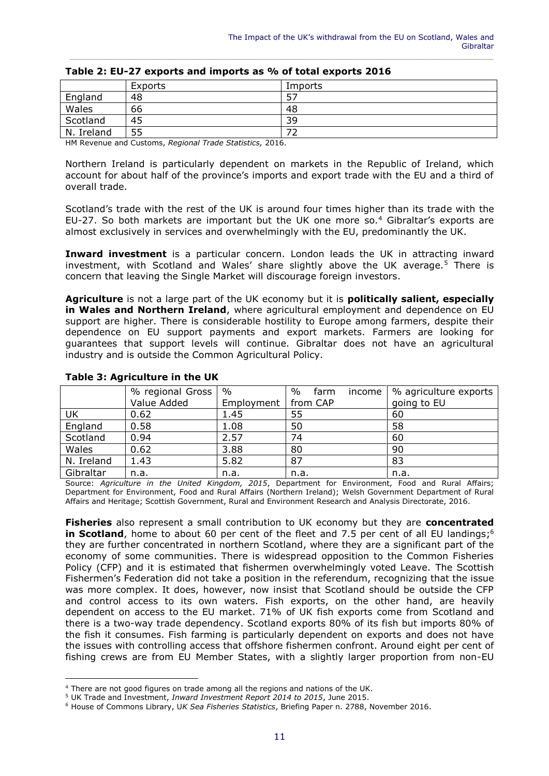| _ _ _<br>________ |         |         |  |
|-------------------|---------|---------|--|
|                   | Exports | Imports |  |
| England           | 48      |         |  |
| Wales             | 66      | 48      |  |
| Scotland          | 45      | 39      |  |
| N. Ireland        | 55      |         |  |

#### <span id="page-12-0"></span>**Table 2: EU-27 exports and imports as % of total exports 2016**

HM Revenue and Customs, *Regional Trade Statistics,* 2016.

Northern Ireland is particularly dependent on markets in the Republic of Ireland, which account for about half of the province's imports and export trade with the EU and a third of overall trade.

Scotland's trade with the rest of the UK is around four times higher than its trade with the EU-27. So both markets are important but the UK one more so.<sup>4</sup> Gibraltar's exports are almost exclusively in services and overwhelmingly with the EU, predominantly the UK.

**Inward investment** is a particular concern. London leads the UK in attracting inward investment, with Scotland and Wales' share slightly above the UK average.<sup>5</sup> There is concern that leaving the Single Market will discourage foreign investors.

**Agriculture** is not a large part of the UK economy but it is **politically salient, especially in Wales and Northern Ireland**, where agricultural employment and dependence on EU support are higher. There is considerable hostility to Europe among farmers, despite their dependence on EU support payments and export markets. Farmers are looking for guarantees that support levels will continue. Gibraltar does not have an agricultural industry and is outside the Common Agricultural Policy.

|            | % regional Gross | $\%$                  | $\frac{0}{0}$<br>farm<br>income | % agriculture exports |
|------------|------------------|-----------------------|---------------------------------|-----------------------|
|            | Value Added      | Employment   from CAP |                                 | going to EU           |
| UK         | 0.62             | 1.45                  | 55                              | 60                    |
| England    | 0.58             | 1.08                  | 50                              | 58                    |
| Scotland   | 0.94             | 2.57                  | 74                              | 60                    |
| Wales      | 0.62             | 3.88                  | 80                              | 90                    |
| N. Ireland | 1.43             | 5.82                  | 87                              | 83                    |
| Gibraltar  | n.a.             | n.a.                  | n.a.                            | n.a.                  |

#### <span id="page-12-1"></span>**Table 3: Agriculture in the UK**

 $\overline{a}$ 

Source: *Agriculture in the United Kingdom, 2015*, Department for Environment, Food and Rural Affairs; Department for Environment, Food and Rural Affairs (Northern Ireland); Welsh Government Department of Rural Affairs and Heritage; Scottish Government, Rural and Environment Research and Analysis Directorate, 2016.

**Fisheries** also represent a small contribution to UK economy but they are **concentrated in Scotland**, home to about 60 per cent of the fleet and 7.5 per cent of all EU landings;<sup>6</sup> they are further concentrated in northern Scotland, where they are a significant part of the economy of some communities. There is widespread opposition to the Common Fisheries Policy (CFP) and it is estimated that fishermen overwhelmingly voted Leave. The Scottish Fishermen's Federation did not take a position in the referendum, recognizing that the issue was more complex. It does, however, now insist that Scotland should be outside the CFP and control access to its own waters. Fish exports, on the other hand, are heavily dependent on access to the EU market. 71% of UK fish exports come from Scotland and there is a two-way trade dependency. Scotland exports 80% of its fish but imports 80% of the fish it consumes. Fish farming is particularly dependent on exports and does not have the issues with controlling access that offshore fishermen confront. Around eight per cent of fishing crews are from EU Member States, with a slightly larger proportion from non-EU

<sup>4</sup> There are not good figures on trade among all the regions and nations of the UK.

<sup>5</sup> UK Trade and Investment, *Inward Investment Report 2014 to 2015*, June 2015.

<sup>6</sup> House of Commons Library, U*K Sea Fisheries Statistics*, Briefing Paper n. 2788, November 2016.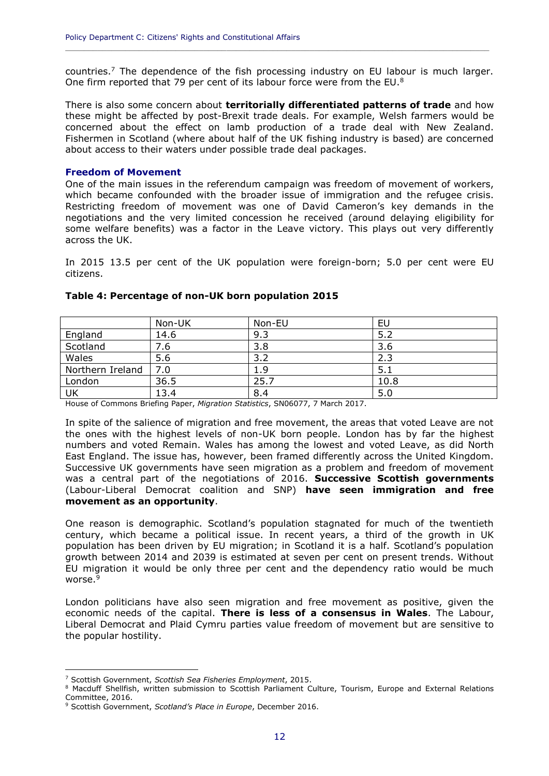countries.<sup>7</sup> The dependence of the fish processing industry on EU labour is much larger. One firm reported that 79 per cent of its labour force were from the EU.<sup>8</sup>

**\_\_\_\_\_\_\_\_\_\_\_\_\_\_\_\_\_\_\_\_\_\_\_\_\_\_\_\_\_\_\_\_\_\_\_\_\_\_\_\_\_\_\_\_\_\_\_\_\_\_\_\_\_\_\_\_\_\_\_\_\_\_\_\_\_\_\_\_\_\_\_\_\_\_\_\_\_\_\_\_\_\_\_\_\_\_\_\_\_\_\_\_**

There is also some concern about **territorially differentiated patterns of trade** and how these might be affected by post-Brexit trade deals. For example, Welsh farmers would be concerned about the effect on lamb production of a trade deal with New Zealand. Fishermen in Scotland (where about half of the UK fishing industry is based) are concerned about access to their waters under possible trade deal packages.

#### **Freedom of Movement**

One of the main issues in the referendum campaign was freedom of movement of workers, which became confounded with the broader issue of immigration and the refugee crisis. Restricting freedom of movement was one of David Cameron's key demands in the negotiations and the very limited concession he received (around delaying eligibility for some welfare benefits) was a factor in the Leave victory. This plays out very differently across the UK.

In 2015 13.5 per cent of the UK population were foreign-born; 5.0 per cent were EU citizens.

|                  | Non-UK | Non-EU | EU   |
|------------------|--------|--------|------|
| England          | 14.6   | 9.3    | 5.2  |
| Scotland         | 7.6    | 3.8    | 3.6  |
| Wales            | 5.6    | 3.2    | 2.3  |
| Northern Ireland | 7.0    | 1.9    | 5.1  |
| London           | 36.5   | 25.7   | 10.8 |
| UK               | 13.4   | 8.4    | 5.0  |

#### <span id="page-13-0"></span>**Table 4: Percentage of non-UK born population 2015**

House of Commons Briefing Paper, *Migration Statistics*, SN06077, 7 March 2017.

In spite of the salience of migration and free movement, the areas that voted Leave are not the ones with the highest levels of non-UK born people. London has by far the highest numbers and voted Remain. Wales has among the lowest and voted Leave, as did North East England. The issue has, however, been framed differently across the United Kingdom. Successive UK governments have seen migration as a problem and freedom of movement was a central part of the negotiations of 2016. **Successive Scottish governments** (Labour-Liberal Democrat coalition and SNP) **have seen immigration and free movement as an opportunity**.

One reason is demographic. Scotland's population stagnated for much of the twentieth century, which became a political issue. In recent years, a third of the growth in UK population has been driven by EU migration; in Scotland it is a half. Scotland's population growth between 2014 and 2039 is estimated at seven per cent on present trends. Without EU migration it would be only three per cent and the dependency ratio would be much worse.<sup>9</sup>

London politicians have also seen migration and free movement as positive, given the economic needs of the capital. **There is less of a consensus in Wales**. The Labour, Liberal Democrat and Plaid Cymru parties value freedom of movement but are sensitive to the popular hostility.

 $\overline{a}$ 

<sup>7</sup> Scottish Government, *Scottish Sea Fisheries Employment*, 2015.

<sup>&</sup>lt;sup>8</sup> Macduff Shellfish, written submission to Scottish Parliament Culture, Tourism, Europe and External Relations Committee, 2016.

<sup>9</sup> Scottish Government, *Scotland's Place in Europe*, December 2016.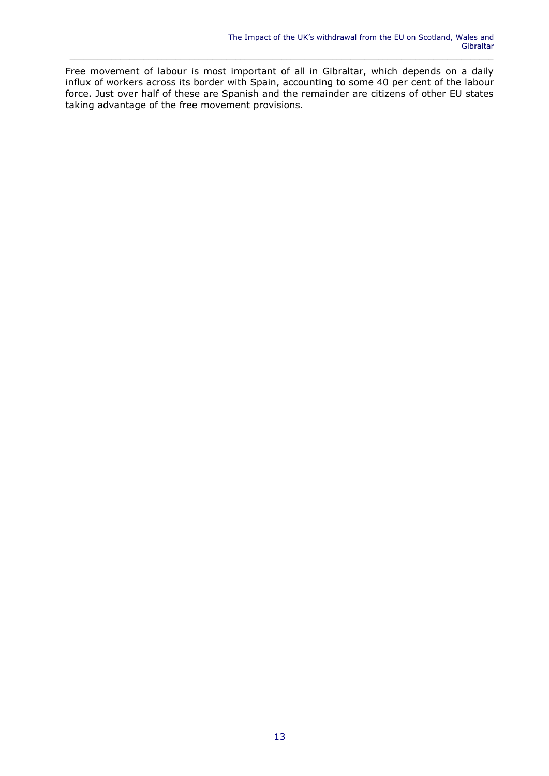Free movement of labour is most important of all in Gibraltar, which depends on a daily influx of workers across its border with Spain, accounting to some 40 per cent of the labour force. Just over half of these are Spanish and the remainder are citizens of other EU states taking advantage of the free movement provisions.

 $\_$  ,  $\_$  ,  $\_$  ,  $\_$  ,  $\_$  ,  $\_$  ,  $\_$  ,  $\_$  ,  $\_$  ,  $\_$  ,  $\_$  ,  $\_$  ,  $\_$  ,  $\_$  ,  $\_$  ,  $\_$  ,  $\_$  ,  $\_$  ,  $\_$  ,  $\_$  ,  $\_$  ,  $\_$  ,  $\_$  ,  $\_$  ,  $\_$  ,  $\_$  ,  $\_$  ,  $\_$  ,  $\_$  ,  $\_$  ,  $\_$  ,  $\_$  ,  $\_$  ,  $\_$  ,  $\_$  ,  $\_$  ,  $\_$  ,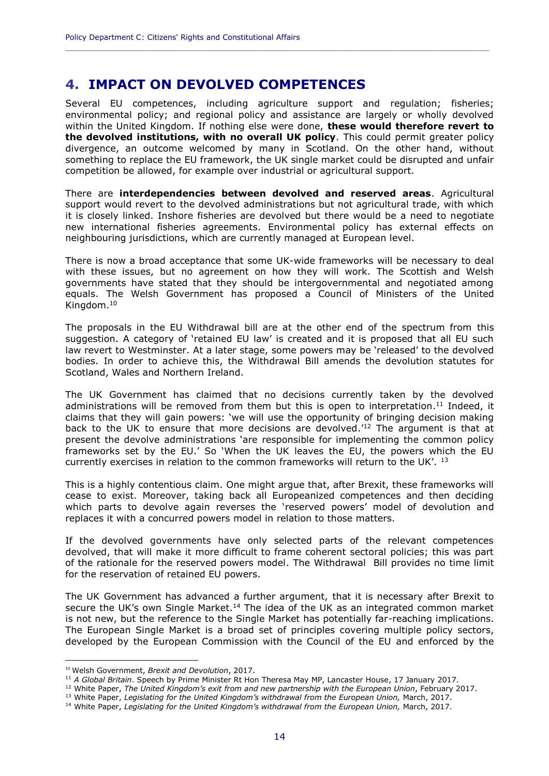## <span id="page-15-0"></span>**4. IMPACT ON DEVOLVED COMPETENCES**

Several EU competences, including agriculture support and regulation; fisheries; environmental policy; and regional policy and assistance are largely or wholly devolved within the United Kingdom. If nothing else were done, **these would therefore revert to the devolved institutions, with no overall UK policy**. This could permit greater policy divergence, an outcome welcomed by many in Scotland. On the other hand, without something to replace the EU framework, the UK single market could be disrupted and unfair competition be allowed, for example over industrial or agricultural support.

**\_\_\_\_\_\_\_\_\_\_\_\_\_\_\_\_\_\_\_\_\_\_\_\_\_\_\_\_\_\_\_\_\_\_\_\_\_\_\_\_\_\_\_\_\_\_\_\_\_\_\_\_\_\_\_\_\_\_\_\_\_\_\_\_\_\_\_\_\_\_\_\_\_\_\_\_\_\_\_\_\_\_\_\_\_\_\_\_\_\_\_\_**

There are **interdependencies between devolved and reserved areas**. Agricultural support would revert to the devolved administrations but not agricultural trade, with which it is closely linked. Inshore fisheries are devolved but there would be a need to negotiate new international fisheries agreements. Environmental policy has external effects on neighbouring jurisdictions, which are currently managed at European level.

There is now a broad acceptance that some UK-wide frameworks will be necessary to deal with these issues, but no agreement on how they will work. The Scottish and Welsh governments have stated that they should be intergovernmental and negotiated among equals. The Welsh Government has proposed a Council of Ministers of the United Kingdom.<sup>10</sup>

The proposals in the EU Withdrawal bill are at the other end of the spectrum from this suggestion. A category of 'retained EU law' is created and it is proposed that all EU such law revert to Westminster. At a later stage, some powers may be 'released' to the devolved bodies. In order to achieve this, the Withdrawal Bill amends the devolution statutes for Scotland, Wales and Northern Ireland.

The UK Government has claimed that no decisions currently taken by the devolved administrations will be removed from them but this is open to interpretation.<sup>11</sup> Indeed, it claims that they will gain powers: 'we will use the opportunity of bringing decision making back to the UK to ensure that more decisions are devolved.<sup>'12</sup> The argument is that at present the devolve administrations 'are responsible for implementing the common policy frameworks set by the EU.' So 'When the UK leaves the EU, the powers which the EU currently exercises in relation to the common frameworks will return to the UK'.  $^{13}$ 

This is a highly contentious claim. One might argue that, after Brexit, these frameworks will cease to exist. Moreover, taking back all Europeanized competences and then deciding which parts to devolve again reverses the 'reserved powers' model of devolution and replaces it with a concurred powers model in relation to those matters.

If the devolved governments have only selected parts of the relevant competences devolved, that will make it more difficult to frame coherent sectoral policies; this was part of the rationale for the reserved powers model. The Withdrawal Bill provides no time limit for the reservation of retained EU powers.

The UK Government has advanced a further argument, that it is necessary after Brexit to secure the UK's own Single Market.<sup>14</sup> The idea of the UK as an integrated common market is not new, but the reference to the Single Market has potentially far-reaching implications. The European Single Market is a broad set of principles covering multiple policy sectors, developed by the European Commission with the Council of the EU and enforced by the

 $\overline{a}$ 

<sup>10</sup> Welsh Government, *Brexit and Devolution*, 2017.

<sup>11</sup> *A Global Britain*. Speech by Prime Minister Rt Hon Theresa May MP, Lancaster House, 17 January 2017.

<sup>12</sup> White Paper, *The United Kingdom's exit from and new partnership with the European Union*, February 2017.

<sup>13</sup> White Paper, *Legislating for the United Kingdom's withdrawal from the European Union,* March, 2017.

<sup>14</sup> White Paper, *Legislating for the United Kingdom's withdrawal from the European Union,* March, 2017.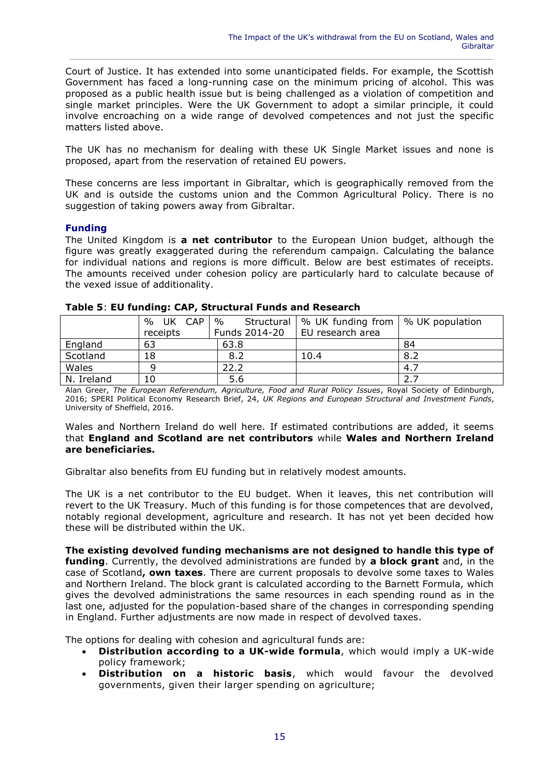Court of Justice. It has extended into some unanticipated fields. For example, the Scottish Government has faced a long-running case on the minimum pricing of alcohol. This was proposed as a public health issue but is being challenged as a violation of competition and single market principles. Were the UK Government to adopt a similar principle, it could involve encroaching on a wide range of devolved competences and not just the specific matters listed above.

 $\_$  ,  $\_$  ,  $\_$  ,  $\_$  ,  $\_$  ,  $\_$  ,  $\_$  ,  $\_$  ,  $\_$  ,  $\_$  ,  $\_$  ,  $\_$  ,  $\_$  ,  $\_$  ,  $\_$  ,  $\_$  ,  $\_$  ,  $\_$  ,  $\_$  ,  $\_$  ,  $\_$  ,  $\_$  ,  $\_$  ,  $\_$  ,  $\_$  ,  $\_$  ,  $\_$  ,  $\_$  ,  $\_$  ,  $\_$  ,  $\_$  ,  $\_$  ,  $\_$  ,  $\_$  ,  $\_$  ,  $\_$  ,  $\_$  ,

The UK has no mechanism for dealing with these UK Single Market issues and none is proposed, apart from the reservation of retained EU powers.

These concerns are less important in Gibraltar, which is geographically removed from the UK and is outside the customs union and the Common Agricultural Policy. There is no suggestion of taking powers away from Gibraltar.

#### **Funding**

The United Kingdom is **a net contributor** to the European Union budget, although the figure was greatly exaggerated during the referendum campaign. Calculating the balance for individual nations and regions is more difficult. Below are best estimates of receipts. The amounts received under cohesion policy are particularly hard to calculate because of the vexed issue of additionality.

|            | $\frac{0}{0}$<br>UK CAP<br>receipts | $\%$<br>Structural<br>Funds 2014-20 | % UK funding from   % UK population<br>EU research area |      |
|------------|-------------------------------------|-------------------------------------|---------------------------------------------------------|------|
| England    | 63                                  | 63.8                                |                                                         | 84   |
| Scotland   | 18                                  | 8.2                                 | 10.4                                                    | 8.2  |
| Wales      |                                     | 22.2                                |                                                         | -4.7 |
| N. Ireland | 10                                  | 5.6                                 |                                                         | 2.7  |

#### <span id="page-16-0"></span>**Table 5**: **EU funding: CAP, Structural Funds and Research**

Alan Greer, *The European Referendum, Agriculture, Food and Rural Policy Issues*, Royal Society of Edinburgh, 2016; SPERI Political Economy Research Brief, 24, *UK Regions and European Structural and Investment Funds*, University of Sheffield, 2016.

#### Wales and Northern Ireland do well here. If estimated contributions are added, it seems that **England and Scotland are net contributors** while **Wales and Northern Ireland are beneficiaries.**

Gibraltar also benefits from EU funding but in relatively modest amounts.

The UK is a net contributor to the EU budget. When it leaves, this net contribution will revert to the UK Treasury. Much of this funding is for those competences that are devolved, notably regional development, agriculture and research. It has not yet been decided how these will be distributed within the UK.

**The existing devolved funding mechanisms are not designed to handle this type of funding**. Currently, the devolved administrations are funded by **a block grant** and, in the case of Scotland**, own taxes**. There are current proposals to devolve some taxes to Wales and Northern Ireland. The block grant is calculated according to the Barnett Formula, which gives the devolved administrations the same resources in each spending round as in the last one, adjusted for the population-based share of the changes in corresponding spending in England. Further adjustments are now made in respect of devolved taxes.

The options for dealing with cohesion and agricultural funds are:

- **Distribution according to a UK-wide formula**, which would imply a UK-wide policy framework;
- **Distribution on a historic basis**, which would favour the devolved governments, given their larger spending on agriculture;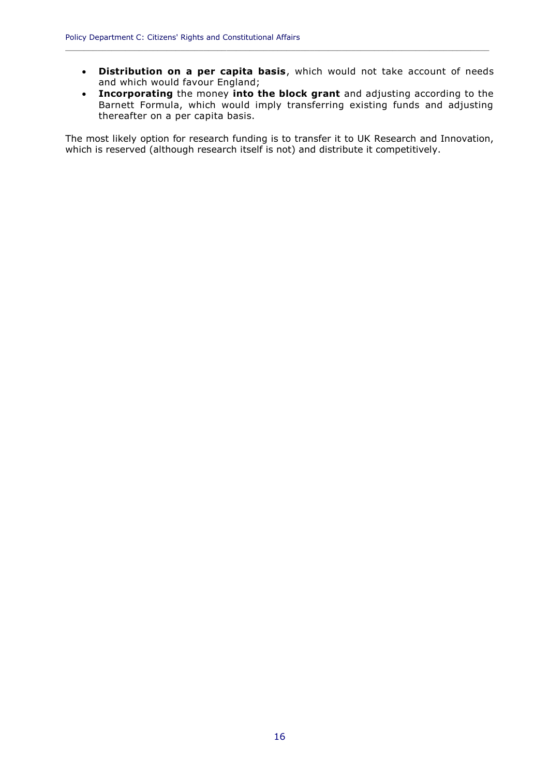**Distribution on a per capita basis**, which would not take account of needs and which would favour England;

**\_\_\_\_\_\_\_\_\_\_\_\_\_\_\_\_\_\_\_\_\_\_\_\_\_\_\_\_\_\_\_\_\_\_\_\_\_\_\_\_\_\_\_\_\_\_\_\_\_\_\_\_\_\_\_\_\_\_\_\_\_\_\_\_\_\_\_\_\_\_\_\_\_\_\_\_\_\_\_\_\_\_\_\_\_\_\_\_\_\_\_\_**

 **Incorporating** the money **into the block grant** and adjusting according to the Barnett Formula, which would imply transferring existing funds and adjusting thereafter on a per capita basis.

The most likely option for research funding is to transfer it to UK Research and Innovation, which is reserved (although research itself is not) and distribute it competitively.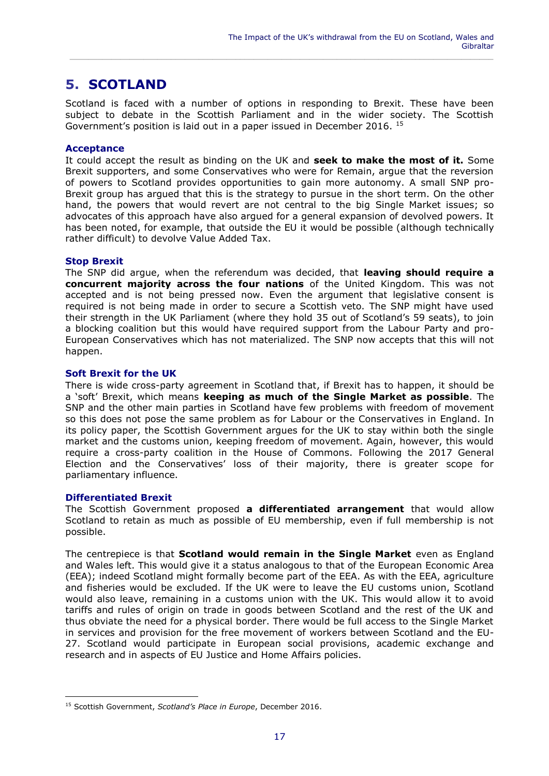## <span id="page-18-0"></span>**5. SCOTLAND**

Scotland is faced with a number of options in responding to Brexit. These have been subject to debate in the Scottish Parliament and in the wider society. The Scottish Government's position is laid out in a paper issued in December 2016. <sup>15</sup>

#### **Acceptance**

It could accept the result as binding on the UK and **seek to make the most of it.** Some Brexit supporters, and some Conservatives who were for Remain, argue that the reversion of powers to Scotland provides opportunities to gain more autonomy. A small SNP pro-Brexit group has argued that this is the strategy to pursue in the short term. On the other hand, the powers that would revert are not central to the big Single Market issues; so advocates of this approach have also argued for a general expansion of devolved powers. It has been noted, for example, that outside the EU it would be possible (although technically rather difficult) to devolve Value Added Tax.

#### **Stop Brexit**

The SNP did argue, when the referendum was decided, that **leaving should require a concurrent majority across the four nations** of the United Kingdom. This was not accepted and is not being pressed now. Even the argument that legislative consent is required is not being made in order to secure a Scottish veto. The SNP might have used their strength in the UK Parliament (where they hold 35 out of Scotland's 59 seats), to join a blocking coalition but this would have required support from the Labour Party and pro-European Conservatives which has not materialized. The SNP now accepts that this will not happen.

#### **Soft Brexit for the UK**

There is wide cross-party agreement in Scotland that, if Brexit has to happen, it should be a 'soft' Brexit, which means **keeping as much of the Single Market as possible**. The SNP and the other main parties in Scotland have few problems with freedom of movement so this does not pose the same problem as for Labour or the Conservatives in England. In its policy paper, the Scottish Government argues for the UK to stay within both the single market and the customs union, keeping freedom of movement. Again, however, this would require a cross-party coalition in the House of Commons. Following the 2017 General Election and the Conservatives' loss of their majority, there is greater scope for parliamentary influence.

#### **Differentiated Brexit**

 $\overline{a}$ 

The Scottish Government proposed **a differentiated arrangement** that would allow Scotland to retain as much as possible of EU membership, even if full membership is not possible.

The centrepiece is that **Scotland would remain in the Single Market** even as England and Wales left. This would give it a status analogous to that of the European Economic Area (EEA); indeed Scotland might formally become part of the EEA. As with the EEA, agriculture and fisheries would be excluded. If the UK were to leave the EU customs union, Scotland would also leave, remaining in a customs union with the UK. This would allow it to avoid tariffs and rules of origin on trade in goods between Scotland and the rest of the UK and thus obviate the need for a physical border. There would be full access to the Single Market in services and provision for the free movement of workers between Scotland and the EU-27. Scotland would participate in European social provisions, academic exchange and research and in aspects of EU Justice and Home Affairs policies.

<sup>15</sup> Scottish Government, *Scotland's Place in Europe*, December 2016.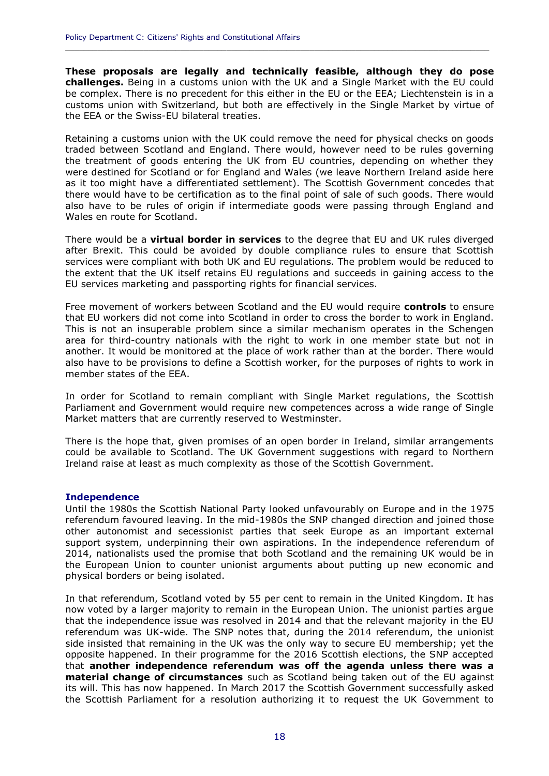**These proposals are legally and technically feasible, although they do pose challenges.** Being in a customs union with the UK and a Single Market with the EU could be complex. There is no precedent for this either in the EU or the EEA; Liechtenstein is in a customs union with Switzerland, but both are effectively in the Single Market by virtue of the EEA or the Swiss-EU bilateral treaties.

**\_\_\_\_\_\_\_\_\_\_\_\_\_\_\_\_\_\_\_\_\_\_\_\_\_\_\_\_\_\_\_\_\_\_\_\_\_\_\_\_\_\_\_\_\_\_\_\_\_\_\_\_\_\_\_\_\_\_\_\_\_\_\_\_\_\_\_\_\_\_\_\_\_\_\_\_\_\_\_\_\_\_\_\_\_\_\_\_\_\_\_\_**

Retaining a customs union with the UK could remove the need for physical checks on goods traded between Scotland and England. There would, however need to be rules governing the treatment of goods entering the UK from EU countries, depending on whether they were destined for Scotland or for England and Wales (we leave Northern Ireland aside here as it too might have a differentiated settlement). The Scottish Government concedes that there would have to be certification as to the final point of sale of such goods. There would also have to be rules of origin if intermediate goods were passing through England and Wales en route for Scotland.

There would be a **virtual border in services** to the degree that EU and UK rules diverged after Brexit. This could be avoided by double compliance rules to ensure that Scottish services were compliant with both UK and EU regulations. The problem would be reduced to the extent that the UK itself retains EU regulations and succeeds in gaining access to the EU services marketing and passporting rights for financial services.

Free movement of workers between Scotland and the EU would require **controls** to ensure that EU workers did not come into Scotland in order to cross the border to work in England. This is not an insuperable problem since a similar mechanism operates in the Schengen area for third-country nationals with the right to work in one member state but not in another. It would be monitored at the place of work rather than at the border. There would also have to be provisions to define a Scottish worker, for the purposes of rights to work in member states of the EEA.

In order for Scotland to remain compliant with Single Market regulations, the Scottish Parliament and Government would require new competences across a wide range of Single Market matters that are currently reserved to Westminster.

There is the hope that, given promises of an open border in Ireland, similar arrangements could be available to Scotland. The UK Government suggestions with regard to Northern Ireland raise at least as much complexity as those of the Scottish Government.

#### **Independence**

Until the 1980s the Scottish National Party looked unfavourably on Europe and in the 1975 referendum favoured leaving. In the mid-1980s the SNP changed direction and joined those other autonomist and secessionist parties that seek Europe as an important external support system, underpinning their own aspirations. In the independence referendum of 2014, nationalists used the promise that both Scotland and the remaining UK would be in the European Union to counter unionist arguments about putting up new economic and physical borders or being isolated.

In that referendum, Scotland voted by 55 per cent to remain in the United Kingdom. It has now voted by a larger majority to remain in the European Union. The unionist parties argue that the independence issue was resolved in 2014 and that the relevant majority in the EU referendum was UK-wide. The SNP notes that, during the 2014 referendum, the unionist side insisted that remaining in the UK was the only way to secure EU membership; yet the opposite happened. In their programme for the 2016 Scottish elections, the SNP accepted that **another independence referendum was off the agenda unless there was a material change of circumstances** such as Scotland being taken out of the EU against its will. This has now happened. In March 2017 the Scottish Government successfully asked the Scottish Parliament for a resolution authorizing it to request the UK Government to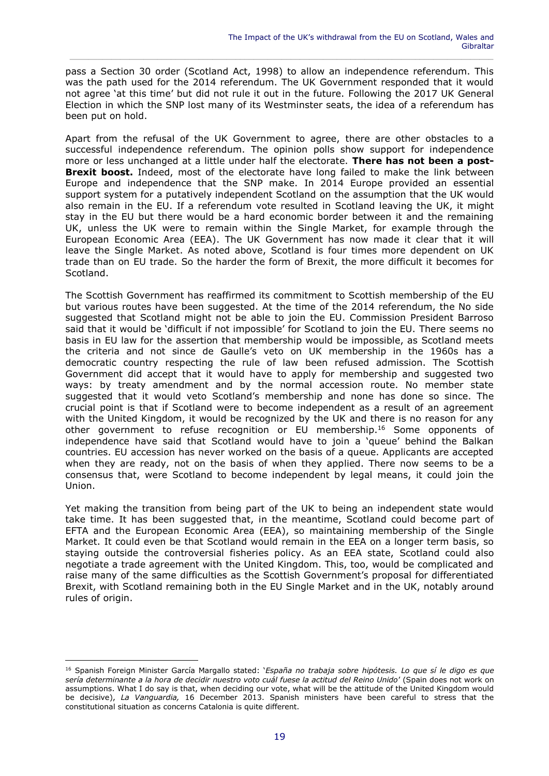pass a Section 30 order (Scotland Act, 1998) to allow an independence referendum. This was the path used for the 2014 referendum. The UK Government responded that it would not agree 'at this time' but did not rule it out in the future. Following the 2017 UK General Election in which the SNP lost many of its Westminster seats, the idea of a referendum has been put on hold.

 $\_$  ,  $\_$  ,  $\_$  ,  $\_$  ,  $\_$  ,  $\_$  ,  $\_$  ,  $\_$  ,  $\_$  ,  $\_$  ,  $\_$  ,  $\_$  ,  $\_$  ,  $\_$  ,  $\_$  ,  $\_$  ,  $\_$  ,  $\_$  ,  $\_$  ,  $\_$  ,  $\_$  ,  $\_$  ,  $\_$  ,  $\_$  ,  $\_$  ,  $\_$  ,  $\_$  ,  $\_$  ,  $\_$  ,  $\_$  ,  $\_$  ,  $\_$  ,  $\_$  ,  $\_$  ,  $\_$  ,  $\_$  ,  $\_$  ,

Apart from the refusal of the UK Government to agree, there are other obstacles to a successful independence referendum. The opinion polls show support for independence more or less unchanged at a little under half the electorate. **There has not been a post-Brexit boost.** Indeed, most of the electorate have long failed to make the link between Europe and independence that the SNP make. In 2014 Europe provided an essential support system for a putatively independent Scotland on the assumption that the UK would also remain in the EU. If a referendum vote resulted in Scotland leaving the UK, it might stay in the EU but there would be a hard economic border between it and the remaining UK, unless the UK were to remain within the Single Market, for example through the European Economic Area (EEA). The UK Government has now made it clear that it will leave the Single Market. As noted above, Scotland is four times more dependent on UK trade than on EU trade. So the harder the form of Brexit, the more difficult it becomes for Scotland.

The Scottish Government has reaffirmed its commitment to Scottish membership of the EU but various routes have been suggested. At the time of the 2014 referendum, the No side suggested that Scotland might not be able to join the EU. Commission President Barroso said that it would be 'difficult if not impossible' for Scotland to join the EU. There seems no basis in EU law for the assertion that membership would be impossible, as Scotland meets the criteria and not since de Gaulle's veto on UK membership in the 1960s has a democratic country respecting the rule of law been refused admission. The Scottish Government did accept that it would have to apply for membership and suggested two ways: by treaty amendment and by the normal accession route. No member state suggested that it would veto Scotland's membership and none has done so since. The crucial point is that if Scotland were to become independent as a result of an agreement with the United Kingdom, it would be recognized by the UK and there is no reason for any other government to refuse recognition or EU membership.<sup>16</sup> Some opponents of independence have said that Scotland would have to join a 'queue' behind the Balkan countries. EU accession has never worked on the basis of a queue. Applicants are accepted when they are ready, not on the basis of when they applied. There now seems to be a consensus that, were Scotland to become independent by legal means, it could join the Union.

Yet making the transition from being part of the UK to being an independent state would take time. It has been suggested that, in the meantime, Scotland could become part of EFTA and the European Economic Area (EEA), so maintaining membership of the Single Market. It could even be that Scotland would remain in the EEA on a longer term basis, so staying outside the controversial fisheries policy. As an EEA state, Scotland could also negotiate a trade agreement with the United Kingdom. This, too, would be complicated and raise many of the same difficulties as the Scottish Government's proposal for differentiated Brexit, with Scotland remaining both in the EU Single Market and in the UK, notably around rules of origin.

 $\overline{a}$ 

<sup>16</sup> Spanish Foreign Minister García Margallo stated: '*España no trabaja sobre hipótesis. Lo que sí le digo es que sería determinante a la hora de decidir nuestro voto cuál fuese la actitud del Reino Unido*' (Spain does not work on assumptions. What I do say is that, when deciding our vote, what will be the attitude of the United Kingdom would be decisive), *La Vanguardia,* 16 December 2013. Spanish ministers have been careful to stress that the constitutional situation as concerns Catalonia is quite different.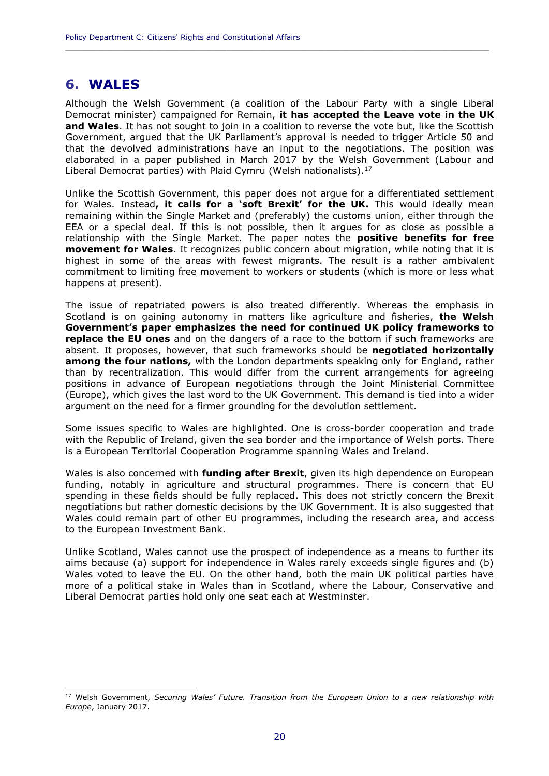## <span id="page-21-0"></span>**6. WALES**

 $\overline{a}$ 

Although the Welsh Government (a coalition of the Labour Party with a single Liberal Democrat minister) campaigned for Remain, **it has accepted the Leave vote in the UK and Wales**. It has not sought to join in a coalition to reverse the vote but, like the Scottish Government, argued that the UK Parliament's approval is needed to trigger Article 50 and that the devolved administrations have an input to the negotiations. The position was elaborated in a paper published in March 2017 by the Welsh Government (Labour and Liberal Democrat parties) with Plaid Cymru (Welsh nationalists).<sup>17</sup>

**\_\_\_\_\_\_\_\_\_\_\_\_\_\_\_\_\_\_\_\_\_\_\_\_\_\_\_\_\_\_\_\_\_\_\_\_\_\_\_\_\_\_\_\_\_\_\_\_\_\_\_\_\_\_\_\_\_\_\_\_\_\_\_\_\_\_\_\_\_\_\_\_\_\_\_\_\_\_\_\_\_\_\_\_\_\_\_\_\_\_\_\_**

Unlike the Scottish Government, this paper does not argue for a differentiated settlement for Wales. Instead**, it calls for a 'soft Brexit' for the UK.** This would ideally mean remaining within the Single Market and (preferably) the customs union, either through the EEA or a special deal. If this is not possible, then it argues for as close as possible a relationship with the Single Market. The paper notes the **positive benefits for free movement for Wales**. It recognizes public concern about migration, while noting that it is highest in some of the areas with fewest migrants. The result is a rather ambivalent commitment to limiting free movement to workers or students (which is more or less what happens at present).

The issue of repatriated powers is also treated differently. Whereas the emphasis in Scotland is on gaining autonomy in matters like agriculture and fisheries, **the Welsh Government's paper emphasizes the need for continued UK policy frameworks to replace the EU ones** and on the dangers of a race to the bottom if such frameworks are absent. It proposes, however, that such frameworks should be **negotiated horizontally among the four nations,** with the London departments speaking only for England, rather than by recentralization. This would differ from the current arrangements for agreeing positions in advance of European negotiations through the Joint Ministerial Committee (Europe), which gives the last word to the UK Government. This demand is tied into a wider argument on the need for a firmer grounding for the devolution settlement.

Some issues specific to Wales are highlighted. One is cross-border cooperation and trade with the Republic of Ireland, given the sea border and the importance of Welsh ports. There is a European Territorial Cooperation Programme spanning Wales and Ireland.

Wales is also concerned with **funding after Brexit**, given its high dependence on European funding, notably in agriculture and structural programmes. There is concern that EU spending in these fields should be fully replaced. This does not strictly concern the Brexit negotiations but rather domestic decisions by the UK Government. It is also suggested that Wales could remain part of other EU programmes, including the research area, and access to the European Investment Bank.

Unlike Scotland, Wales cannot use the prospect of independence as a means to further its aims because (a) support for independence in Wales rarely exceeds single figures and (b) Wales voted to leave the EU. On the other hand, both the main UK political parties have more of a political stake in Wales than in Scotland, where the Labour, Conservative and Liberal Democrat parties hold only one seat each at Westminster.

<sup>17</sup> Welsh Government, *Securing Wales' Future. Transition from the European Union to a new relationship with Europe*, January 2017.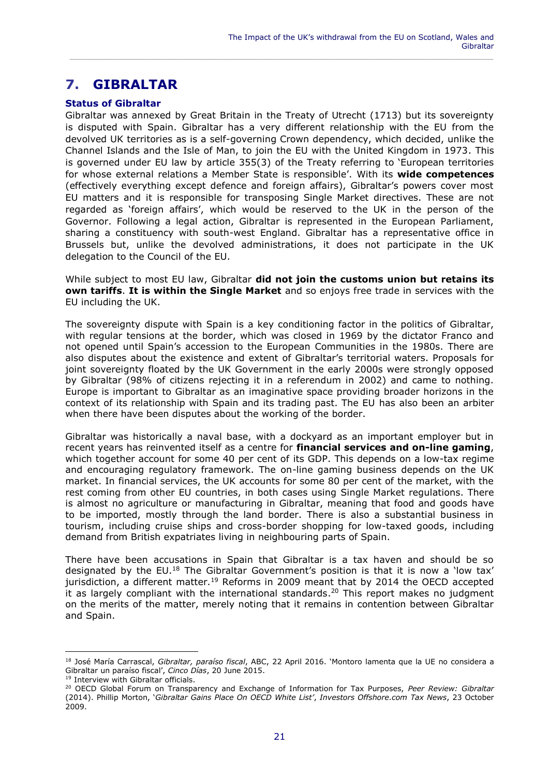## <span id="page-22-0"></span>**7. GIBRALTAR**

#### **Status of Gibraltar**

Gibraltar was annexed by Great Britain in the Treaty of Utrecht (1713) but its sovereignty is disputed with Spain. Gibraltar has a very different relationship with the EU from the devolved UK territories as is a self-governing Crown dependency, which decided, unlike the Channel Islands and the Isle of Man, to join the EU with the United Kingdom in 1973. This is governed under EU law by article 355(3) of the Treaty referring to 'European territories for whose external relations a Member State is responsible'. With its **wide competences** (effectively everything except defence and foreign affairs), Gibraltar's powers cover most EU matters and it is responsible for transposing Single Market directives. These are not regarded as 'foreign affairs', which would be reserved to the UK in the person of the Governor. Following a legal action, Gibraltar is represented in the European Parliament, sharing a constituency with south-west England. Gibraltar has a representative office in Brussels but, unlike the devolved administrations, it does not participate in the UK delegation to the Council of the EU.

While subject to most EU law, Gibraltar **did not join the customs union but retains its own tariffs**. **It is within the Single Market** and so enjoys free trade in services with the EU including the UK.

The sovereignty dispute with Spain is a key conditioning factor in the politics of Gibraltar, with regular tensions at the border, which was closed in 1969 by the dictator Franco and not opened until Spain's accession to the European Communities in the 1980s. There are also disputes about the existence and extent of Gibraltar's territorial waters. Proposals for joint sovereignty floated by the UK Government in the early 2000s were strongly opposed by Gibraltar (98% of citizens rejecting it in a referendum in 2002) and came to nothing. Europe is important to Gibraltar as an imaginative space providing broader horizons in the context of its relationship with Spain and its trading past. The EU has also been an arbiter when there have been disputes about the working of the border.

Gibraltar was historically a naval base, with a dockyard as an important employer but in recent years has reinvented itself as a centre for **financial services and on-line gaming**, which together account for some 40 per cent of its GDP. This depends on a low-tax regime and encouraging regulatory framework. The on-line gaming business depends on the UK market. In financial services, the UK accounts for some 80 per cent of the market, with the rest coming from other EU countries, in both cases using Single Market regulations. There is almost no agriculture or manufacturing in Gibraltar, meaning that food and goods have to be imported, mostly through the land border. There is also a substantial business in tourism, including cruise ships and cross-border shopping for low-taxed goods, including demand from British expatriates living in neighbouring parts of Spain.

There have been accusations in Spain that Gibraltar is a tax haven and should be so designated by the EU.<sup>18</sup> The Gibraltar Government's position is that it is now a 'low tax' jurisdiction, a different matter.<sup>19</sup> Reforms in 2009 meant that by 2014 the OECD accepted it as largely compliant with the international standards. <sup>20</sup> This report makes no judgment on the merits of the matter, merely noting that it remains in contention between Gibraltar and Spain.

 $\overline{a}$ 

<sup>18</sup> José María Carrascal, *Gibraltar, paraíso fiscal*, ABC, 22 April 2016. 'Montoro lamenta que la UE no considera a Gibraltar un paraíso fiscal', *Cinco Días*, 20 June 2015.

<sup>&</sup>lt;sup>19</sup> Interview with Gibraltar officials.

<sup>20</sup> OECD Global Forum on Transparency and Exchange of Information for Tax Purposes, *Peer Review: Gibraltar*  (2014). Phillip Morton, '*Gibraltar Gains Place On OECD White List'*, *Investors Offshore.com Tax News*, 23 October 2009.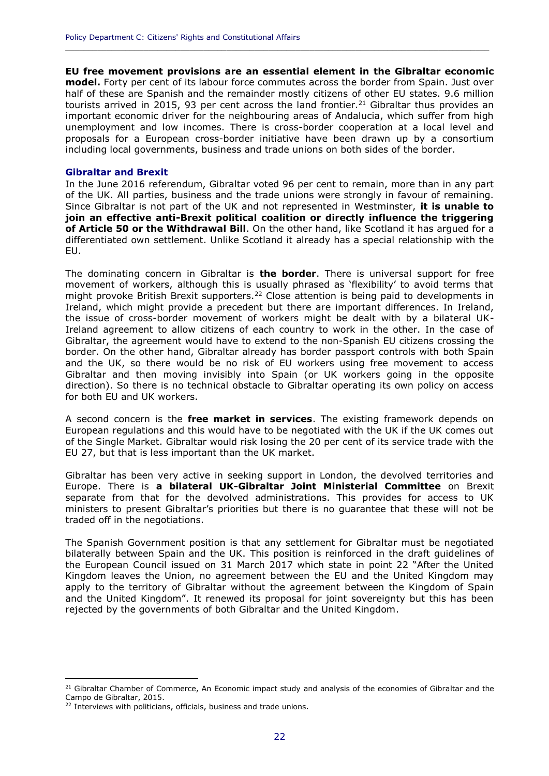**EU free movement provisions are an essential element in the Gibraltar economic model.** Forty per cent of its labour force commutes across the border from Spain. Just over half of these are Spanish and the remainder mostly citizens of other EU states. 9.6 million tourists arrived in 2015, 93 per cent across the land frontier.<sup>21</sup> Gibraltar thus provides an important economic driver for the neighbouring areas of Andalucia, which suffer from high unemployment and low incomes. There is cross-border cooperation at a local level and proposals for a European cross-border initiative have been drawn up by a consortium including local governments, business and trade unions on both sides of the border.

**\_\_\_\_\_\_\_\_\_\_\_\_\_\_\_\_\_\_\_\_\_\_\_\_\_\_\_\_\_\_\_\_\_\_\_\_\_\_\_\_\_\_\_\_\_\_\_\_\_\_\_\_\_\_\_\_\_\_\_\_\_\_\_\_\_\_\_\_\_\_\_\_\_\_\_\_\_\_\_\_\_\_\_\_\_\_\_\_\_\_\_\_**

#### **Gibraltar and Brexit**

In the June 2016 referendum, Gibraltar voted 96 per cent to remain, more than in any part of the UK. All parties, business and the trade unions were strongly in favour of remaining. Since Gibraltar is not part of the UK and not represented in Westminster, **it is unable to join an effective anti-Brexit political coalition or directly influence the triggering of Article 50 or the Withdrawal Bill**. On the other hand, like Scotland it has argued for a differentiated own settlement. Unlike Scotland it already has a special relationship with the EU.

The dominating concern in Gibraltar is **the border**. There is universal support for free movement of workers, although this is usually phrased as 'flexibility' to avoid terms that might provoke British Brexit supporters.<sup>22</sup> Close attention is being paid to developments in Ireland, which might provide a precedent but there are important differences. In Ireland, the issue of cross-border movement of workers might be dealt with by a bilateral UK-Ireland agreement to allow citizens of each country to work in the other. In the case of Gibraltar, the agreement would have to extend to the non-Spanish EU citizens crossing the border. On the other hand, Gibraltar already has border passport controls with both Spain and the UK, so there would be no risk of EU workers using free movement to access Gibraltar and then moving invisibly into Spain (or UK workers going in the opposite direction). So there is no technical obstacle to Gibraltar operating its own policy on access for both EU and UK workers.

A second concern is the **free market in services**. The existing framework depends on European regulations and this would have to be negotiated with the UK if the UK comes out of the Single Market. Gibraltar would risk losing the 20 per cent of its service trade with the EU 27, but that is less important than the UK market.

Gibraltar has been very active in seeking support in London, the devolved territories and Europe. There is **a bilateral UK-Gibraltar Joint Ministerial Committee** on Brexit separate from that for the devolved administrations. This provides for access to UK ministers to present Gibraltar's priorities but there is no guarantee that these will not be traded off in the negotiations.

The Spanish Government position is that any settlement for Gibraltar must be negotiated bilaterally between Spain and the UK. This position is reinforced in the draft guidelines of the European Council issued on 31 March 2017 which state in point 22 "After the United Kingdom leaves the Union, no agreement between the EU and the United Kingdom may apply to the territory of Gibraltar without the agreement between the Kingdom of Spain and the United Kingdom". It renewed its proposal for joint sovereignty but this has been rejected by the governments of both Gibraltar and the United Kingdom.

 $\overline{a}$ 

<sup>&</sup>lt;sup>21</sup> Gibraltar Chamber of Commerce, An Economic impact study and analysis of the economies of Gibraltar and the Campo de Gibraltar, 2015.

<sup>&</sup>lt;sup>22</sup> Interviews with politicians, officials, business and trade unions.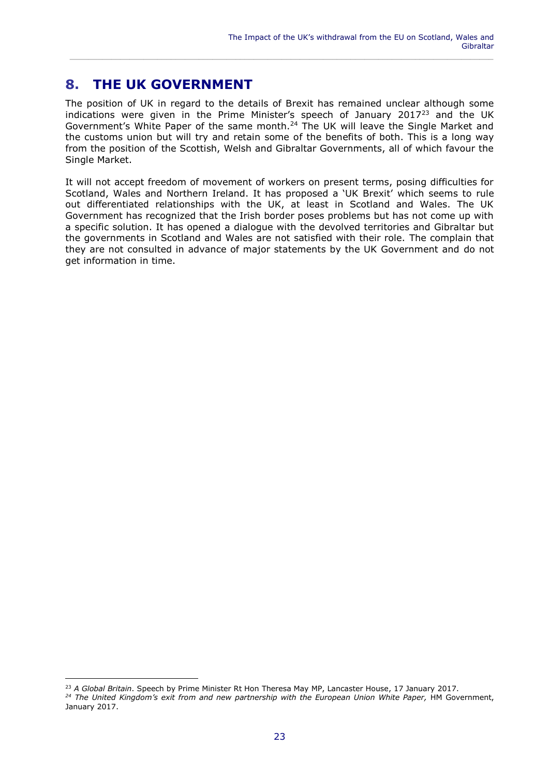## <span id="page-24-0"></span>**8. THE UK GOVERNMENT**

 $\overline{a}$ 

The position of UK in regard to the details of Brexit has remained unclear although some indications were given in the Prime Minister's speech of January 2017<sup>23</sup> and the UK Government's White Paper of the same month.<sup>24</sup> The UK will leave the Single Market and the customs union but will try and retain some of the benefits of both. This is a long way from the position of the Scottish, Welsh and Gibraltar Governments, all of which favour the Single Market.

It will not accept freedom of movement of workers on present terms, posing difficulties for Scotland, Wales and Northern Ireland. It has proposed a 'UK Brexit' which seems to rule out differentiated relationships with the UK, at least in Scotland and Wales. The UK Government has recognized that the Irish border poses problems but has not come up with a specific solution. It has opened a dialogue with the devolved territories and Gibraltar but the governments in Scotland and Wales are not satisfied with their role. The complain that they are not consulted in advance of major statements by the UK Government and do not get information in time.

<sup>23</sup> *A Global Britain*. Speech by Prime Minister Rt Hon Theresa May MP, Lancaster House, 17 January 2017. <sup>24</sup> The United Kingdom's exit from and new partnership with the European Union White Paper, HM Government, January 2017.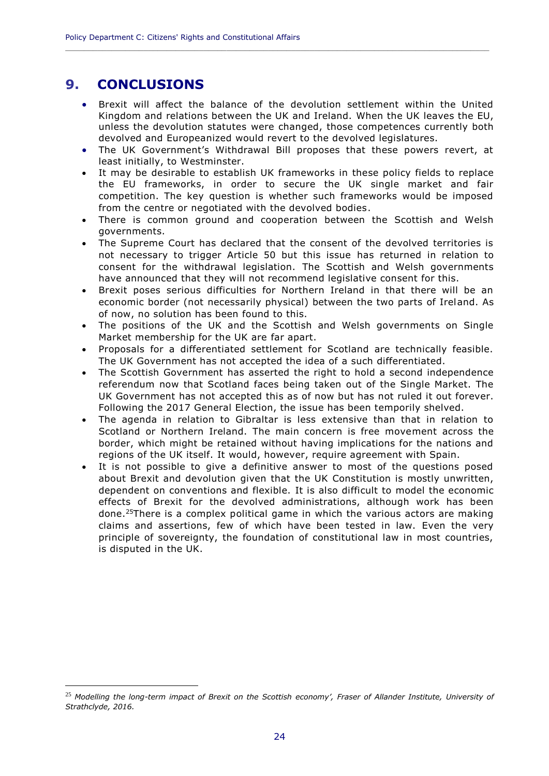## <span id="page-25-0"></span>**9. CONCLUSIONS**

 $\overline{a}$ 

 Brexit will affect the balance of the devolution settlement within the United Kingdom and relations between the UK and Ireland. When the UK leaves the EU, unless the devolution statutes were changed, those competences currently both devolved and Europeanized would revert to the devolved legislatures.

**\_\_\_\_\_\_\_\_\_\_\_\_\_\_\_\_\_\_\_\_\_\_\_\_\_\_\_\_\_\_\_\_\_\_\_\_\_\_\_\_\_\_\_\_\_\_\_\_\_\_\_\_\_\_\_\_\_\_\_\_\_\_\_\_\_\_\_\_\_\_\_\_\_\_\_\_\_\_\_\_\_\_\_\_\_\_\_\_\_\_\_\_**

- The UK Government's Withdrawal Bill proposes that these powers revert, at least initially, to Westminster.
- It may be desirable to establish UK frameworks in these policy fields to replace the EU frameworks, in order to secure the UK single market and fair competition. The key question is whether such frameworks would be imposed from the centre or negotiated with the devolved bodies.
- There is common ground and cooperation between the Scottish and Welsh governments.
- The Supreme Court has declared that the consent of the devolved territories is not necessary to trigger Article 50 but this issue has returned in relation to consent for the withdrawal legislation. The Scottish and Welsh governments have announced that they will not recommend legislative consent for this.
- Brexit poses serious difficulties for Northern Ireland in that there will be an economic border (not necessarily physical) between the two parts of Ireland. As of now, no solution has been found to this.
- The positions of the UK and the Scottish and Welsh governments on Single Market membership for the UK are far apart.
- Proposals for a differentiated settlement for Scotland are technically feasible. The UK Government has not accepted the idea of a such differentiated.
- The Scottish Government has asserted the right to hold a second independence referendum now that Scotland faces being taken out of the Single Market. The UK Government has not accepted this as of now but has not ruled it out forever. Following the 2017 General Election, the issue has been temporily shelved.
- The agenda in relation to Gibraltar is less extensive than that in relation to Scotland or Northern Ireland. The main concern is free movement across the border, which might be retained without having implications for the nations and regions of the UK itself. It would, however, require agreement with Spain.
- It is not possible to give a definitive answer to most of the questions posed about Brexit and devolution given that the UK Constitution is mostly unwritten, dependent on conventions and flexible. It is also difficult to model the economic effects of Brexit for the devolved administrations, although work has been done. <sup>25</sup>There is a complex political game in which the various actors are making claims and assertions, few of which have been tested in law. Even the very principle of sovereignty, the foundation of constitutional law in most countries, is disputed in the UK.

<sup>25</sup> *Modelling the long-term impact of Brexit on the Scottish economy', Fraser of Allander Institute, University of Strathclyde, 2016.*